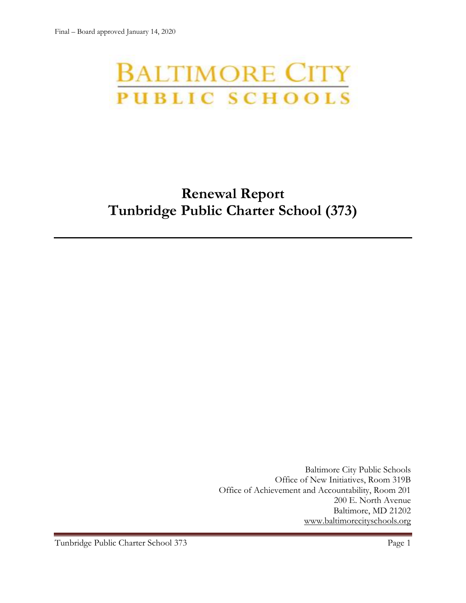# **BALTIMORE CITY** PUBLIC SCHOOLS

# **Renewal Report Tunbridge Public Charter School (373)**

Baltimore City Public Schools Office of New Initiatives, Room 319B Office of Achievement and Accountability, Room 201 200 E. North Avenue Baltimore, MD 21202 [www.baltimorecityschools.org](http://www.baltimorecityschools.org/)

Tunbridge Public Charter School 373 Page 1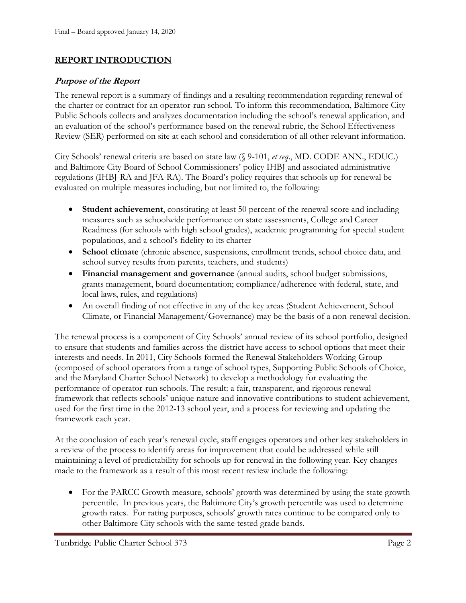### **REPORT INTRODUCTION**

#### **Purpose of the Report**

The renewal report is a summary of findings and a resulting recommendation regarding renewal of the charter or contract for an operator-run school. To inform this recommendation, Baltimore City Public Schools collects and analyzes documentation including the school's renewal application, and an evaluation of the school's performance based on the renewal rubric, the School Effectiveness Review (SER) performed on site at each school and consideration of all other relevant information.

City Schools' renewal criteria are based on state law (§ 9-101, *et seq*., MD. CODE ANN., EDUC.) and Baltimore City Board of School Commissioners' policy IHBJ and associated administrative regulations (IHBJ-RA and JFA-RA). The Board's policy requires that schools up for renewal be evaluated on multiple measures including, but not limited to, the following:

- **Student achievement**, constituting at least 50 percent of the renewal score and including measures such as schoolwide performance on state assessments, College and Career Readiness (for schools with high school grades), academic programming for special student populations, and a school's fidelity to its charter
- **School climate** (chronic absence, suspensions, enrollment trends, school choice data, and school survey results from parents, teachers, and students)
- **Financial management and governance** (annual audits, school budget submissions, grants management, board documentation; compliance/adherence with federal, state, and local laws, rules, and regulations)
- An overall finding of not effective in any of the key areas (Student Achievement, School Climate, or Financial Management/Governance) may be the basis of a non-renewal decision.

The renewal process is a component of City Schools' annual review of its school portfolio, designed to ensure that students and families across the district have access to school options that meet their interests and needs. In 2011, City Schools formed the Renewal Stakeholders Working Group (composed of school operators from a range of school types, Supporting Public Schools of Choice, and the Maryland Charter School Network) to develop a methodology for evaluating the performance of operator-run schools. The result: a fair, transparent, and rigorous renewal framework that reflects schools' unique nature and innovative contributions to student achievement, used for the first time in the 2012-13 school year, and a process for reviewing and updating the framework each year.

At the conclusion of each year's renewal cycle, staff engages operators and other key stakeholders in a review of the process to identify areas for improvement that could be addressed while still maintaining a level of predictability for schools up for renewal in the following year. Key changes made to the framework as a result of this most recent review include the following:

• For the PARCC Growth measure, schools' growth was determined by using the state growth percentile. In previous years, the Baltimore City's growth percentile was used to determine growth rates. For rating purposes, schools' growth rates continue to be compared only to other Baltimore City schools with the same tested grade bands.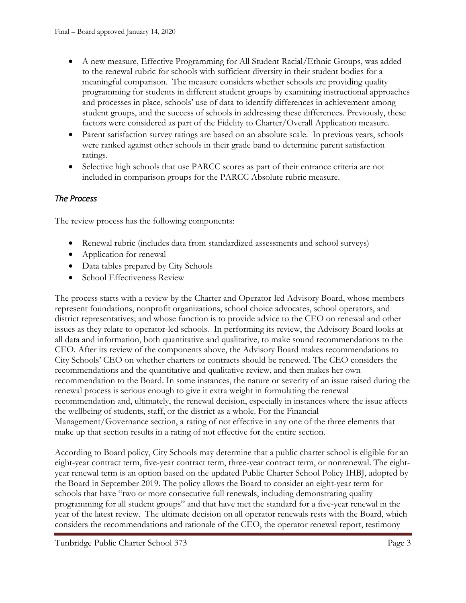- A new measure, Effective Programming for All Student Racial/Ethnic Groups, was added to the renewal rubric for schools with sufficient diversity in their student bodies for a meaningful comparison. The measure considers whether schools are providing quality programming for students in different student groups by examining instructional approaches and processes in place, schools' use of data to identify differences in achievement among student groups, and the success of schools in addressing these differences. Previously, these factors were considered as part of the Fidelity to Charter/Overall Application measure.
- Parent satisfaction survey ratings are based on an absolute scale. In previous years, schools were ranked against other schools in their grade band to determine parent satisfaction ratings.
- Selective high schools that use PARCC scores as part of their entrance criteria are not included in comparison groups for the PARCC Absolute rubric measure.

# *The Process*

The review process has the following components:

- Renewal rubric (includes data from standardized assessments and school surveys)
- Application for renewal
- Data tables prepared by City Schools
- School Effectiveness Review

The process starts with a review by the Charter and Operator-led Advisory Board, whose members represent foundations, nonprofit organizations, school choice advocates, school operators, and district representatives; and whose function is to provide advice to the CEO on renewal and other issues as they relate to operator-led schools. In performing its review, the Advisory Board looks at all data and information, both quantitative and qualitative, to make sound recommendations to the CEO. After its review of the components above, the Advisory Board makes recommendations to City Schools' CEO on whether charters or contracts should be renewed. The CEO considers the recommendations and the quantitative and qualitative review, and then makes her own recommendation to the Board. In some instances, the nature or severity of an issue raised during the renewal process is serious enough to give it extra weight in formulating the renewal recommendation and, ultimately, the renewal decision, especially in instances where the issue affects the wellbeing of students, staff, or the district as a whole. For the Financial Management/Governance section, a rating of not effective in any one of the three elements that make up that section results in a rating of not effective for the entire section.

According to Board policy, City Schools may determine that a public charter school is eligible for an eight-year contract term, five-year contract term, three-year contract term, or nonrenewal. The eightyear renewal term is an option based on the updated Public Charter School Policy IHBJ, adopted by the Board in September 2019. The policy allows the Board to consider an eight-year term for schools that have "two or more consecutive full renewals, including demonstrating quality programming for all student groups" and that have met the standard for a five-year renewal in the year of the latest review. The ultimate decision on all operator renewals rests with the Board, which considers the recommendations and rationale of the CEO, the operator renewal report, testimony

Tunbridge Public Charter School 373 Page 3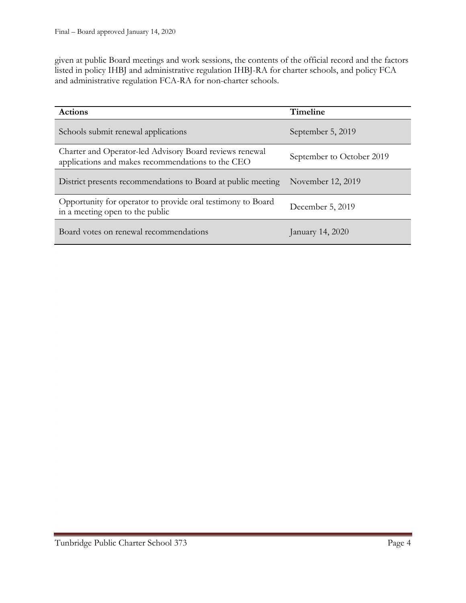given at public Board meetings and work sessions, the contents of the official record and the factors listed in policy IHBJ and administrative regulation IHBJ-RA for charter schools, and policy FCA and administrative regulation FCA-RA for non-charter schools.

| <b>Actions</b>                                                                                               | Timeline                  |
|--------------------------------------------------------------------------------------------------------------|---------------------------|
| Schools submit renewal applications                                                                          | September 5, 2019         |
| Charter and Operator-led Advisory Board reviews renewal<br>applications and makes recommendations to the CEO | September to October 2019 |
| District presents recommendations to Board at public meeting                                                 | November 12, 2019         |
| Opportunity for operator to provide oral testimony to Board<br>in a meeting open to the public               | December 5, 2019          |
| Board votes on renewal recommendations                                                                       | January 14, 2020          |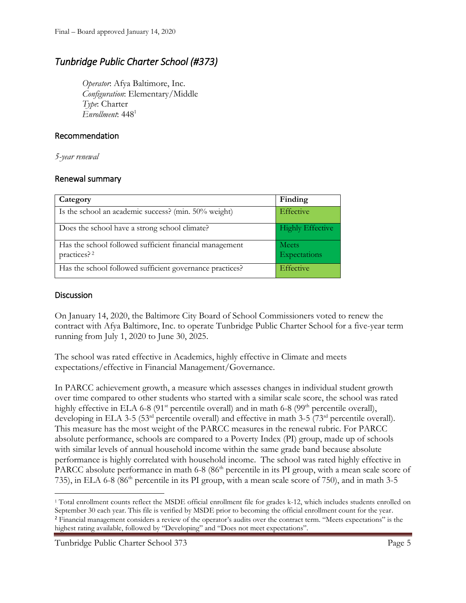# *Tunbridge Public Charter School (#373)*

*Operator*: Afya Baltimore, Inc. *Configuration*: Elementary/Middle *Type*: Charter *Enrollment*: 448<sup>1</sup>

#### Recommendation

*5-year renewal*

#### Renewal summary

| Category                                                                           | Finding                      |
|------------------------------------------------------------------------------------|------------------------------|
| Is the school an academic success? (min. 50% weight)                               | <b>Effective</b>             |
| Does the school have a strong school climate?                                      | <b>Highly Effective</b>      |
| Has the school followed sufficient financial management<br>practices? <sup>2</sup> | <b>Meets</b><br>Expectations |
| Has the school followed sufficient governance practices?                           | Effective                    |

#### **Discussion**

l

On January 14, 2020, the Baltimore City Board of School Commissioners voted to renew the contract with Afya Baltimore, Inc. to operate Tunbridge Public Charter School for a five-year term running from July 1, 2020 to June 30, 2025.

The school was rated effective in Academics, highly effective in Climate and meets expectations/effective in Financial Management/Governance.

In PARCC achievement growth, a measure which assesses changes in individual student growth over time compared to other students who started with a similar scale score, the school was rated highly effective in ELA 6-8 (91<sup>st</sup> percentile overall) and in math 6-8 (99<sup>th</sup> percentile overall), developing in ELA 3-5 (53<sup>rd</sup> percentile overall) and effective in math 3-5 (73<sup>rd</sup> percentile overall). This measure has the most weight of the PARCC measures in the renewal rubric. For PARCC absolute performance, schools are compared to a Poverty Index (PI) group, made up of schools with similar levels of annual household income within the same grade band because absolute performance is highly correlated with household income. The school was rated highly effective in PARCC absolute performance in math 6-8 (86<sup>th</sup> percentile in its PI group, with a mean scale score of 735), in ELA 6-8 (86th percentile in its PI group, with a mean scale score of 750), and in math 3-5

<sup>1</sup> Total enrollment counts reflect the MSDE official enrollment file for grades k-12, which includes students enrolled on September 30 each year. This file is verified by MSDE prior to becoming the official enrollment count for the year. <sup>2</sup> Financial management considers a review of the operator's audits over the contract term. "Meets expectations" is the highest rating available, followed by "Developing" and "Does not meet expectations".

Tunbridge Public Charter School 373 Page 5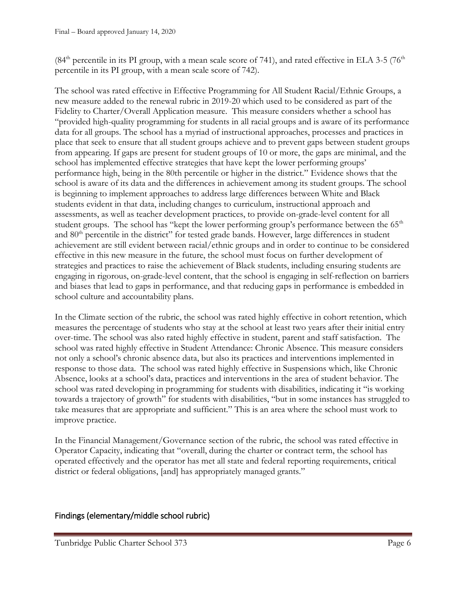$(84<sup>th</sup>$  percentile in its PI group, with a mean scale score of 741), and rated effective in ELA 3-5 (76<sup>th</sup> percentile in its PI group, with a mean scale score of 742).

The school was rated effective in Effective Programming for All Student Racial/Ethnic Groups, a new measure added to the renewal rubric in 2019-20 which used to be considered as part of the Fidelity to Charter/Overall Application measure. This measure considers whether a school has "provided high-quality programming for students in all racial groups and is aware of its performance data for all groups. The school has a myriad of instructional approaches, processes and practices in place that seek to ensure that all student groups achieve and to prevent gaps between student groups from appearing. If gaps are present for student groups of 10 or more, the gaps are minimal, and the school has implemented effective strategies that have kept the lower performing groups' performance high, being in the 80th percentile or higher in the district." Evidence shows that the school is aware of its data and the differences in achievement among its student groups. The school is beginning to implement approaches to address large differences between White and Black students evident in that data, including changes to curriculum, instructional approach and assessments, as well as teacher development practices, to provide on-grade-level content for all student groups. The school has "kept the lower performing group's performance between the  $65<sup>th</sup>$ and 80<sup>th</sup> percentile in the district" for tested grade bands. However, large differences in student achievement are still evident between racial/ethnic groups and in order to continue to be considered effective in this new measure in the future, the school must focus on further development of strategies and practices to raise the achievement of Black students, including ensuring students are engaging in rigorous, on-grade-level content, that the school is engaging in self-reflection on barriers and biases that lead to gaps in performance, and that reducing gaps in performance is embedded in school culture and accountability plans.

In the Climate section of the rubric, the school was rated highly effective in cohort retention, which measures the percentage of students who stay at the school at least two years after their initial entry over-time. The school was also rated highly effective in student, parent and staff satisfaction. The school was rated highly effective in Student Attendance: Chronic Absence. This measure considers not only a school's chronic absence data, but also its practices and interventions implemented in response to those data. The school was rated highly effective in Suspensions which, like Chronic Absence, looks at a school's data, practices and interventions in the area of student behavior. The school was rated developing in programming for students with disabilities, indicating it "is working towards a trajectory of growth" for students with disabilities, "but in some instances has struggled to take measures that are appropriate and sufficient." This is an area where the school must work to improve practice.

In the Financial Management/Governance section of the rubric, the school was rated effective in Operator Capacity, indicating that "overall, during the charter or contract term, the school has operated effectively and the operator has met all state and federal reporting requirements, critical district or federal obligations, [and] has appropriately managed grants."

## Findings (elementary/middle school rubric)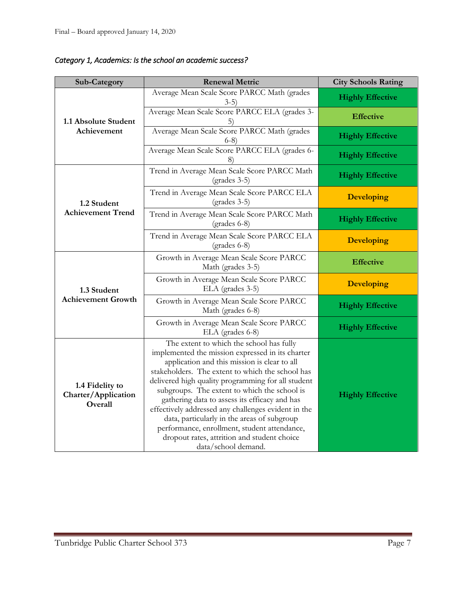| Sub-Category                                      | <b>Renewal Metric</b>                                                                                                                                                                                                                                                                                                                                                                                                                                                                                                                                                               | <b>City Schools Rating</b> |
|---------------------------------------------------|-------------------------------------------------------------------------------------------------------------------------------------------------------------------------------------------------------------------------------------------------------------------------------------------------------------------------------------------------------------------------------------------------------------------------------------------------------------------------------------------------------------------------------------------------------------------------------------|----------------------------|
|                                                   | Average Mean Scale Score PARCC Math (grades<br>$3-5)$                                                                                                                                                                                                                                                                                                                                                                                                                                                                                                                               | <b>Highly Effective</b>    |
| 1.1 Absolute Student                              | Average Mean Scale Score PARCC ELA (grades 3-                                                                                                                                                                                                                                                                                                                                                                                                                                                                                                                                       | <b>Effective</b>           |
| Achievement                                       | Average Mean Scale Score PARCC Math (grades<br>$6-8)$                                                                                                                                                                                                                                                                                                                                                                                                                                                                                                                               | <b>Highly Effective</b>    |
|                                                   | Average Mean Scale Score PARCC ELA (grades 6-                                                                                                                                                                                                                                                                                                                                                                                                                                                                                                                                       | <b>Highly Effective</b>    |
|                                                   | Trend in Average Mean Scale Score PARCC Math<br>$(grades 3-5)$                                                                                                                                                                                                                                                                                                                                                                                                                                                                                                                      | <b>Highly Effective</b>    |
| 1.2 Student                                       | Trend in Average Mean Scale Score PARCC ELA<br>$(grades 3-5)$                                                                                                                                                                                                                                                                                                                                                                                                                                                                                                                       | <b>Developing</b>          |
| <b>Achievement Trend</b>                          | Trend in Average Mean Scale Score PARCC Math<br>$(grades 6-8)$                                                                                                                                                                                                                                                                                                                                                                                                                                                                                                                      | <b>Highly Effective</b>    |
|                                                   | Trend in Average Mean Scale Score PARCC ELA<br>$(grades 6-8)$                                                                                                                                                                                                                                                                                                                                                                                                                                                                                                                       | <b>Developing</b>          |
| 1.3 Student<br><b>Achievement Growth</b>          | Growth in Average Mean Scale Score PARCC<br>Math (grades 3-5)                                                                                                                                                                                                                                                                                                                                                                                                                                                                                                                       | <b>Effective</b>           |
|                                                   | Growth in Average Mean Scale Score PARCC<br>ELA (grades 3-5)                                                                                                                                                                                                                                                                                                                                                                                                                                                                                                                        | <b>Developing</b>          |
|                                                   | Growth in Average Mean Scale Score PARCC<br>Math (grades 6-8)                                                                                                                                                                                                                                                                                                                                                                                                                                                                                                                       | <b>Highly Effective</b>    |
|                                                   | Growth in Average Mean Scale Score PARCC<br>ELA (grades 6-8)                                                                                                                                                                                                                                                                                                                                                                                                                                                                                                                        | <b>Highly Effective</b>    |
| 1.4 Fidelity to<br>Charter/Application<br>Overall | The extent to which the school has fully<br>implemented the mission expressed in its charter<br>application and this mission is clear to all<br>stakeholders. The extent to which the school has<br>delivered high quality programming for all student<br>subgroups. The extent to which the school is<br>gathering data to assess its efficacy and has<br>effectively addressed any challenges evident in the<br>data, particularly in the areas of subgroup<br>performance, enrollment, student attendance,<br>dropout rates, attrition and student choice<br>data/school demand. | <b>Highly Effective</b>    |

*Category 1, Academics: Is the school an academic success?*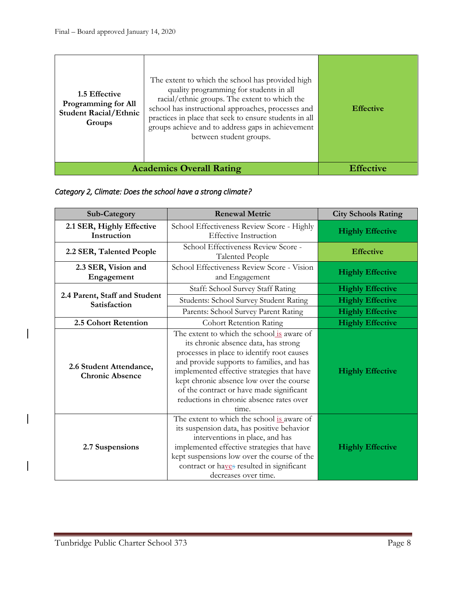| 1.5 Effective<br>Programming for All<br><b>Student Racial/Ethnic</b><br>Groups | The extent to which the school has provided high<br>quality programming for students in all<br>racial/ethnic groups. The extent to which the<br>school has instructional approaches, processes and<br>practices in place that seek to ensure students in all<br>groups achieve and to address gaps in achievement<br>between student groups. | <b>Effective</b> |
|--------------------------------------------------------------------------------|----------------------------------------------------------------------------------------------------------------------------------------------------------------------------------------------------------------------------------------------------------------------------------------------------------------------------------------------|------------------|
|                                                                                | <b>Academics Overall Rating</b>                                                                                                                                                                                                                                                                                                              | <b>Effective</b> |

#### *Category 2, Climate: Does the school have a strong climate?*

| <b>Sub-Category</b>                               | <b>Renewal Metric</b>                                                                                                                                                                                                                                                                                                                                                    | <b>City Schools Rating</b> |
|---------------------------------------------------|--------------------------------------------------------------------------------------------------------------------------------------------------------------------------------------------------------------------------------------------------------------------------------------------------------------------------------------------------------------------------|----------------------------|
| 2.1 SER, Highly Effective<br>Instruction          | School Effectiveness Review Score - Highly<br><b>Effective Instruction</b>                                                                                                                                                                                                                                                                                               | <b>Highly Effective</b>    |
| 2.2 SER, Talented People                          | School Effectiveness Review Score -<br><b>Talented People</b>                                                                                                                                                                                                                                                                                                            | <b>Effective</b>           |
| 2.3 SER, Vision and<br>Engagement                 | School Effectiveness Review Score - Vision<br>and Engagement                                                                                                                                                                                                                                                                                                             | <b>Highly Effective</b>    |
|                                                   | Staff: School Survey Staff Rating                                                                                                                                                                                                                                                                                                                                        | <b>Highly Effective</b>    |
| 2.4 Parent, Staff and Student<br>Satisfaction     | Students: School Survey Student Rating                                                                                                                                                                                                                                                                                                                                   | <b>Highly Effective</b>    |
|                                                   | Parents: School Survey Parent Rating                                                                                                                                                                                                                                                                                                                                     | <b>Highly Effective</b>    |
| 2.5 Cohort Retention                              | <b>Cohort Retention Rating</b>                                                                                                                                                                                                                                                                                                                                           | <b>Highly Effective</b>    |
| 2.6 Student Attendance,<br><b>Chronic Absence</b> | The extent to which the school is aware of<br>its chronic absence data, has strong<br>processes in place to identify root causes<br>and provide supports to families, and has<br>implemented effective strategies that have<br>kept chronic absence low over the course<br>of the contract or have made significant<br>reductions in chronic absence rates over<br>time. | <b>Highly Effective</b>    |
| 2.7 Suspensions                                   | The extent to which the school is aware of<br>its suspension data, has positive behavior<br>interventions in place, and has<br>implemented effective strategies that have<br>kept suspensions low over the course of the<br>contract or haves resulted in significant<br>decreases over time.                                                                            | <b>Highly Effective</b>    |

 $\overline{\phantom{a}}$ 

 $\overline{\phantom{a}}$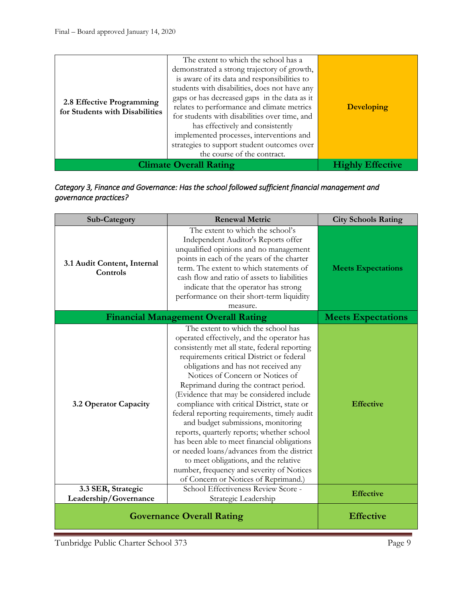| the course of the contract.<br><b>Climate Overall Rating</b><br><b>Effective</b> | 2.8 Effective Programming<br>for Students with Disabilities | is aware of its data and responsibilities to<br>students with disabilities, does not have any<br>gaps or has decreased gaps in the data as it<br>relates to performance and climate metrics<br>for students with disabilities over time, and<br>has effectively and consistently<br>implemented processes, interventions and<br>strategies to support student outcomes over | <b>Developing</b> |
|----------------------------------------------------------------------------------|-------------------------------------------------------------|-----------------------------------------------------------------------------------------------------------------------------------------------------------------------------------------------------------------------------------------------------------------------------------------------------------------------------------------------------------------------------|-------------------|
|----------------------------------------------------------------------------------|-------------------------------------------------------------|-----------------------------------------------------------------------------------------------------------------------------------------------------------------------------------------------------------------------------------------------------------------------------------------------------------------------------------------------------------------------------|-------------------|

#### *Category 3, Finance and Governance: Has the school followed sufficient financial management and governance practices?*

| Sub-Category                            | <b>Renewal Metric</b>                                                                                                                                                                                                                                                                                                                                                                                                                                                                                                                                                                                                                                                                                                                                         | <b>City Schools Rating</b> |
|-----------------------------------------|---------------------------------------------------------------------------------------------------------------------------------------------------------------------------------------------------------------------------------------------------------------------------------------------------------------------------------------------------------------------------------------------------------------------------------------------------------------------------------------------------------------------------------------------------------------------------------------------------------------------------------------------------------------------------------------------------------------------------------------------------------------|----------------------------|
| 3.1 Audit Content, Internal<br>Controls | The extent to which the school's<br>Independent Auditor's Reports offer<br>unqualified opinions and no management<br>points in each of the years of the charter<br>term. The extent to which statements of<br>cash flow and ratio of assets to liabilities<br>indicate that the operator has strong<br>performance on their short-term liquidity<br>measure.                                                                                                                                                                                                                                                                                                                                                                                                  | <b>Meets Expectations</b>  |
|                                         | <b>Financial Management Overall Rating</b>                                                                                                                                                                                                                                                                                                                                                                                                                                                                                                                                                                                                                                                                                                                    | <b>Meets Expectations</b>  |
| 3.2 Operator Capacity                   | The extent to which the school has<br>operated effectively, and the operator has<br>consistently met all state, federal reporting<br>requirements critical District or federal<br>obligations and has not received any<br>Notices of Concern or Notices of<br>Reprimand during the contract period.<br>(Evidence that may be considered include<br>compliance with critical District, state or<br>federal reporting requirements, timely audit<br>and budget submissions, monitoring<br>reports, quarterly reports; whether school<br>has been able to meet financial obligations<br>or needed loans/advances from the district<br>to meet obligations, and the relative<br>number, frequency and severity of Notices<br>of Concern or Notices of Reprimand.) | <b>Effective</b>           |
| 3.3 SER, Strategic                      | School Effectiveness Review Score -                                                                                                                                                                                                                                                                                                                                                                                                                                                                                                                                                                                                                                                                                                                           | <b>Effective</b>           |
| Leadership/Governance                   | Strategic Leadership                                                                                                                                                                                                                                                                                                                                                                                                                                                                                                                                                                                                                                                                                                                                          |                            |
|                                         | <b>Governance Overall Rating</b>                                                                                                                                                                                                                                                                                                                                                                                                                                                                                                                                                                                                                                                                                                                              | <b>Effective</b>           |